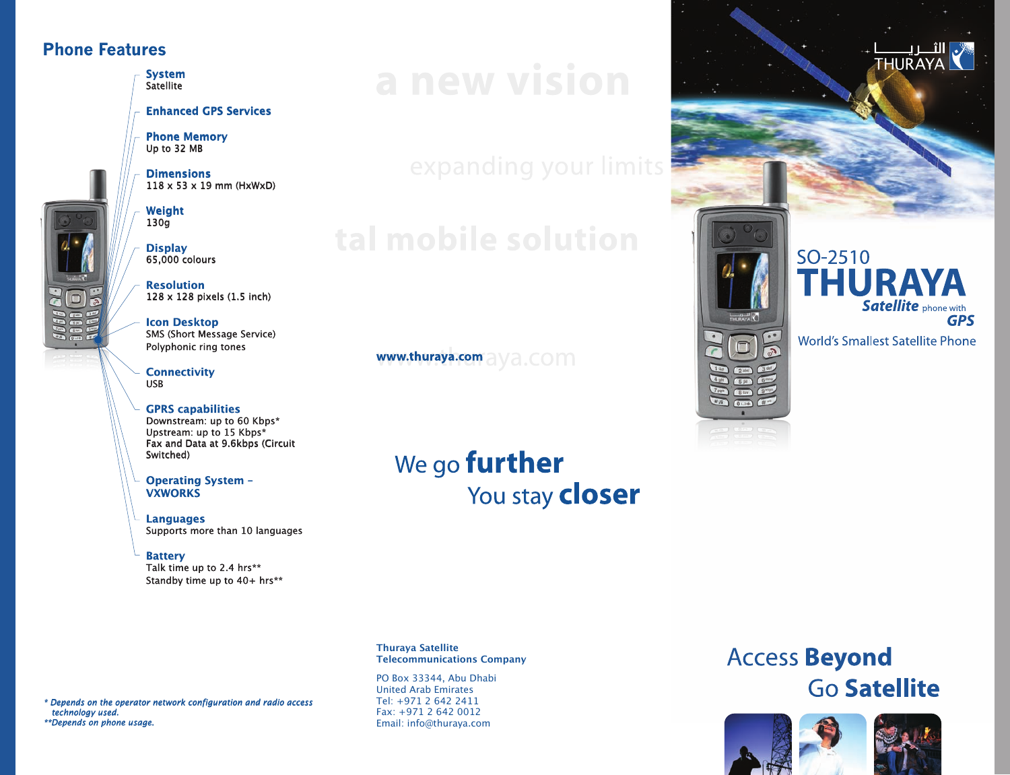## **Phone Features**

**System Satellite** 

### **Enhanced GPS Services**

- **Phone Memory**  Up to 32 MB
- **Dimensions**  118 x 53 x 19 mm (HxWxD)
- **Weight**  130g
- **Display**  65,000 colours

**Resolution**  128 x 128 pixels (1.5 inch)

- **Icon Desktop**  SMS (Short Message Service) Polyphonic ring tones
- **Connectivity**  USB

**GPRS capabilities**  Downstream: up to 60 Kbps\* Upstream: up to 15 Kbps\* Fax and Data at 9.6kbps (Circuit Switched)

- **Operating System VXWORKS**
- **Languages** Supports more than 10 languages

#### **Battery**  Talk time up to 2.4 hrs\*\* Standby time up to 40+ hrs\*\*

*\* Depends on the operator network configuration and radio access technology used. \*\*Depends on phone usage.*

expanding your limits

# tal mobile solution

www.thuraya.com a ya.com

## We go **further** You stay **closer**

**Thuraya Satellite Telecommunications Company**

PO Box 33344, Abu Dhabi United Arab Emirates Tel: +971 2 642 2411 Fax: +971 2 642 0012 Email: info@thuraya.com



SO-2510

 $4 ph$   $5 p$ 

THURAYA

**World's Smallest Satellite Phone** 

**Satellite** phone with

**GPS** 

الثـــــریــــــــــــــا<br>THURAYA

## **Access Beyond Go Satellite**